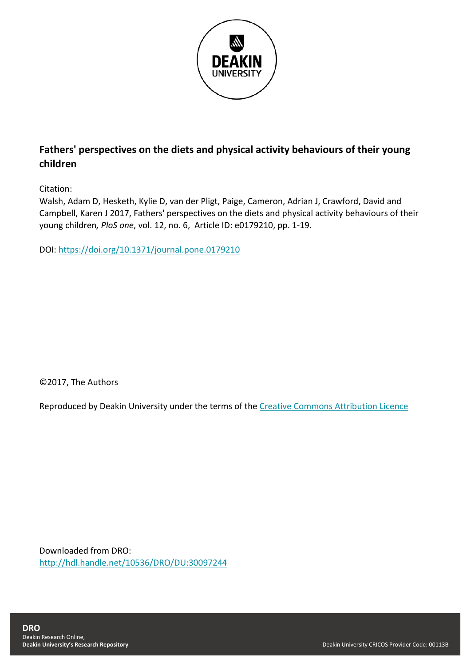

# **Fathers' perspectives on the diets and physical activity behaviours of their young children**

Citation:

Walsh, Adam D, Hesketh, Kylie D, van der Pligt, Paige, Cameron, Adrian J, Crawford, David and Campbell, Karen J 2017, Fathers' perspectives on the diets and physical activity behaviours of their young children*, PloS one*, vol. 12, no. 6, Article ID: e0179210, pp. 1-19.

DOI:<https://doi.org/10.1371/journal.pone.0179210>

©2017, The Authors

Reproduced by Deakin University under the terms of the [Creative Commons Attribution Licence](https://creativecommons.org/licenses/by/4.0/)

Downloaded from DRO: <http://hdl.handle.net/10536/DRO/DU:30097244>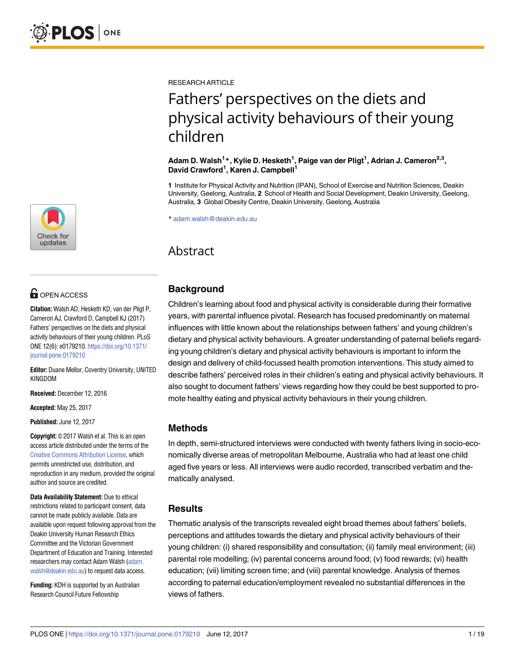

# **OPEN ACCESS**

**Citation:** Walsh AD, Hesketh KD, van der Pligt P, Cameron AJ, Crawford D, Campbell KJ (2017) Fathers' perspectives on the diets and physical activity behaviours of their young children. PLoS ONE 12(6): e0179210. [https://doi.org/10.1371/](https://doi.org/10.1371/journal.pone.0179210) [journal.pone.0179210](https://doi.org/10.1371/journal.pone.0179210)

**Editor:** Duane Mellor, Coventry University, UNITED KINGDOM

**Received:** December 12, 2016

**Accepted:** May 25, 2017

**Published:** June 12, 2017

**Copyright:** © 2017 Walsh et al. This is an open access article distributed under the terms of the Creative Commons [Attribution](http://creativecommons.org/licenses/by/4.0/) License, which permits unrestricted use, distribution, and reproduction in any medium, provided the original author and source are credited.

**Data Availability Statement:** Due to ethical restrictions related to participant consent, data cannot be made publicly available. Data are available upon request following approval from the Deakin University Human Research Ethics Committee and the Victorian Government Department of Education and Training. Interested researchers may contact Adam Walsh ([adam.](mailto:adam.walsh@deakin.edu.au) [walsh@deakin.edu.au](mailto:adam.walsh@deakin.edu.au)) to request data access.

**Funding:** KDH is supported by an Australian Research Council Future Fellowship

RESEARCH ARTICLE

# Fathers' perspectives on the diets and physical activity behaviours of their young children

**Adam D. Walsh<sup>1</sup> \*, Kylie D. Hesketh1 , Paige van der Pligt1 , Adrian J. Cameron2,3, David Crawford1 , Karen J. Campbell1**

**1** Institute for Physical Activity and Nutrition (IPAN), School of Exercise and Nutrition Sciences, Deakin University, Geelong, Australia, **2** School of Health and Social Development, Deakin University, Geelong, Australia, **3** Global Obesity Centre, Deakin University, Geelong, Australia

\* adam.walsh@deakin.edu.au

# Abstract

# **Background**

Children's learning about food and physical activity is considerable during their formative years, with parental influence pivotal. Research has focused predominantly on maternal influences with little known about the relationships between fathers' and young children's dietary and physical activity behaviours. A greater understanding of paternal beliefs regarding young children's dietary and physical activity behaviours is important to inform the design and delivery of child-focussed health promotion interventions. This study aimed to describe fathers' perceived roles in their children's eating and physical activity behaviours. It also sought to document fathers' views regarding how they could be best supported to promote healthy eating and physical activity behaviours in their young children.

# **Methods**

In depth, semi-structured interviews were conducted with twenty fathers living in socio-economically diverse areas of metropolitan Melbourne, Australia who had at least one child aged five years or less. All interviews were audio recorded, transcribed verbatim and thematically analysed.

# **Results**

Thematic analysis of the transcripts revealed eight broad themes about fathers' beliefs, perceptions and attitudes towards the dietary and physical activity behaviours of their young children: (i) shared responsibility and consultation; (ii) family meal environment; (iii) parental role modelling; (iv) parental concerns around food; (v) food rewards; (vi) health education; (vii) limiting screen time; and (viii) parental knowledge. Analysis of themes according to paternal education/employment revealed no substantial differences in the views of fathers.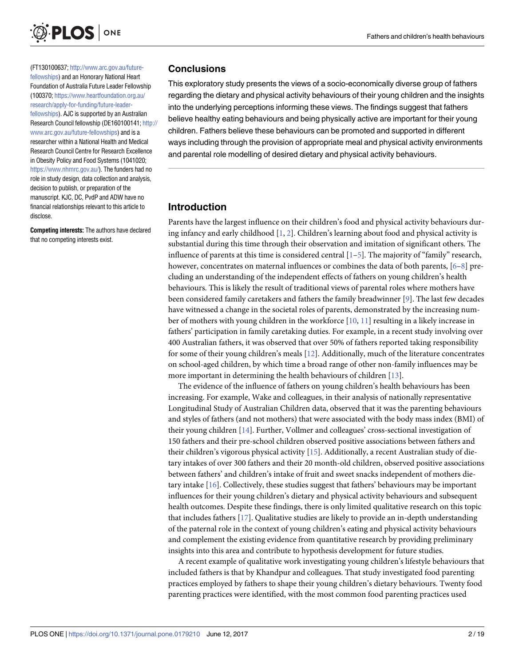<span id="page-2-0"></span>

(FT130100637; [http://www.arc.gov.au/future](http://www.arc.gov.au/future-fellowships)[fellowships](http://www.arc.gov.au/future-fellowships)) and an Honorary National Heart Foundation of Australia Future Leader Fellowship (100370; [https://www.heartfoundation.org.au/](https://www.heartfoundation.org.au/research/apply-for-funding/future-leader-fellowships) [research/apply-for-funding/future-leader](https://www.heartfoundation.org.au/research/apply-for-funding/future-leader-fellowships)[fellowships](https://www.heartfoundation.org.au/research/apply-for-funding/future-leader-fellowships)). AJC is supported by an Australian Research Council fellowship (DE160100141; [http://](http://www.arc.gov.au/future-fellowships) [www.arc.gov.au/future-fellowships](http://www.arc.gov.au/future-fellowships)) and is a researcher within a National Health and Medical Research Council Centre for Research Excellence in Obesity Policy and Food Systems (1041020; <https://www.nhmrc.gov.au/>). The funders had no role in study design, data collection and analysis, decision to publish, or preparation of the manuscript. KJC, DC, PvdP and ADW have no financial relationships relevant to this article to disclose.

**Competing interests:** The authors have declared that no competing interests exist.

#### **Conclusions**

This exploratory study presents the views of a socio-economically diverse group of fathers regarding the dietary and physical activity behaviours of their young children and the insights into the underlying perceptions informing these views. The findings suggest that fathers believe healthy eating behaviours and being physically active are important for their young children. Fathers believe these behaviours can be promoted and supported in different ways including through the provision of appropriate meal and physical activity environments and parental role modelling of desired dietary and physical activity behaviours.

## **Introduction**

Parents have the largest influence on their children's food and physical activity behaviours during infancy and early childhood [[1,](#page-16-0) [2\]](#page-16-0). Children's learning about food and physical activity is substantial during this time through their observation and imitation of significant others. The influence of parents at this time is considered central  $[1-5]$  $[1-5]$ . The majority of "family" research, however, concentrates on maternal influences or combines the data of both parents, [\[6–8](#page-17-0)] precluding an understanding of the independent effects of fathers on young children's health behaviours. This is likely the result of traditional views of parental roles where mothers have been considered family caretakers and fathers the family breadwinner [\[9](#page-17-0)]. The last few decades have witnessed a change in the societal roles of parents, demonstrated by the increasing number of mothers with young children in the workforce [[10](#page-17-0), [11](#page-17-0)] resulting in a likely increase in fathers' participation in family caretaking duties. For example, in a recent study involving over 400 Australian fathers, it was observed that over 50% of fathers reported taking responsibility for some of their young children's meals [\[12](#page-17-0)]. Additionally, much of the literature concentrates on school-aged children, by which time a broad range of other non-family influences may be more important in determining the health behaviours of children [\[13\]](#page-17-0).

The evidence of the influence of fathers on young children's health behaviours has been increasing. For example, Wake and colleagues, in their analysis of nationally representative Longitudinal Study of Australian Children data, observed that it was the parenting behaviours and styles of fathers (and not mothers) that were associated with the body mass index (BMI) of their young children [\[14\]](#page-17-0). Further, Vollmer and colleagues' cross-sectional investigation of 150 fathers and their pre-school children observed positive associations between fathers and their children's vigorous physical activity [\[15\]](#page-17-0). Additionally, a recent Australian study of dietary intakes of over 300 fathers and their 20 month-old children, observed positive associations between fathers' and children's intake of fruit and sweet snacks independent of mothers dietary intake [\[16\]](#page-17-0). Collectively, these studies suggest that fathers' behaviours may be important influences for their young children's dietary and physical activity behaviours and subsequent health outcomes. Despite these findings, there is only limited qualitative research on this topic that includes fathers [[17](#page-17-0)]. Qualitative studies are likely to provide an in-depth understanding of the paternal role in the context of young children's eating and physical activity behaviours and complement the existing evidence from quantitative research by providing preliminary insights into this area and contribute to hypothesis development for future studies.

A recent example of qualitative work investigating young children's lifestyle behaviours that included fathers is that by Khandpur and colleagues. That study investigated food parenting practices employed by fathers to shape their young children's dietary behaviours. Twenty food parenting practices were identified, with the most common food parenting practices used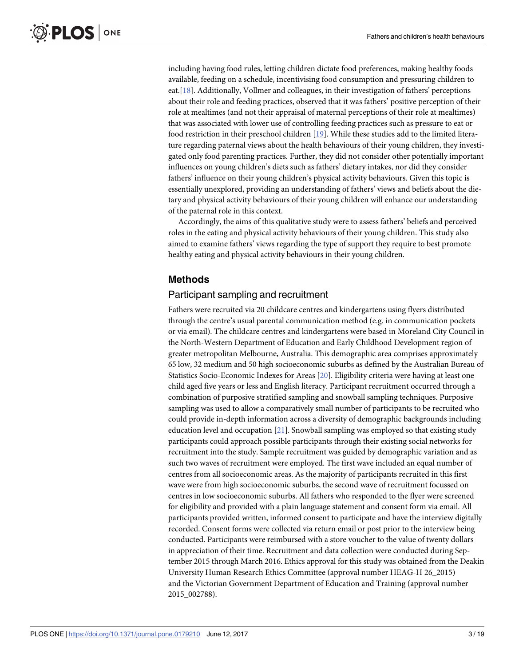<span id="page-3-0"></span>including having food rules, letting children dictate food preferences, making healthy foods available, feeding on a schedule, incentivising food consumption and pressuring children to eat.[\[18\]](#page-17-0). Additionally, Vollmer and colleagues, in their investigation of fathers' perceptions about their role and feeding practices, observed that it was fathers' positive perception of their role at mealtimes (and not their appraisal of maternal perceptions of their role at mealtimes) that was associated with lower use of controlling feeding practices such as pressure to eat or food restriction in their preschool children [[19](#page-17-0)]. While these studies add to the limited literature regarding paternal views about the health behaviours of their young children, they investigated only food parenting practices. Further, they did not consider other potentially important influences on young children's diets such as fathers' dietary intakes, nor did they consider fathers' influence on their young children's physical activity behaviours. Given this topic is essentially unexplored, providing an understanding of fathers' views and beliefs about the dietary and physical activity behaviours of their young children will enhance our understanding of the paternal role in this context.

Accordingly, the aims of this qualitative study were to assess fathers' beliefs and perceived roles in the eating and physical activity behaviours of their young children. This study also aimed to examine fathers' views regarding the type of support they require to best promote healthy eating and physical activity behaviours in their young children.

## **Methods**

#### Participant sampling and recruitment

Fathers were recruited via 20 childcare centres and kindergartens using flyers distributed through the centre's usual parental communication method (e.g. in communication pockets or via email). The childcare centres and kindergartens were based in Moreland City Council in the North-Western Department of Education and Early Childhood Development region of greater metropolitan Melbourne, Australia. This demographic area comprises approximately 65 low, 32 medium and 50 high socioeconomic suburbs as defined by the Australian Bureau of Statistics Socio-Economic Indexes for Areas [[20](#page-17-0)]. Eligibility criteria were having at least one child aged five years or less and English literacy. Participant recruitment occurred through a combination of purposive stratified sampling and snowball sampling techniques. Purposive sampling was used to allow a comparatively small number of participants to be recruited who could provide in-depth information across a diversity of demographic backgrounds including education level and occupation [\[21\]](#page-17-0). Snowball sampling was employed so that existing study participants could approach possible participants through their existing social networks for recruitment into the study. Sample recruitment was guided by demographic variation and as such two waves of recruitment were employed. The first wave included an equal number of centres from all socioeconomic areas. As the majority of participants recruited in this first wave were from high socioeconomic suburbs, the second wave of recruitment focussed on centres in low socioeconomic suburbs. All fathers who responded to the flyer were screened for eligibility and provided with a plain language statement and consent form via email. All participants provided written, informed consent to participate and have the interview digitally recorded. Consent forms were collected via return email or post prior to the interview being conducted. Participants were reimbursed with a store voucher to the value of twenty dollars in appreciation of their time. Recruitment and data collection were conducted during September 2015 through March 2016. Ethics approval for this study was obtained from the Deakin University Human Research Ethics Committee (approval number HEAG-H 26\_2015) and the Victorian Government Department of Education and Training (approval number 2015\_002788).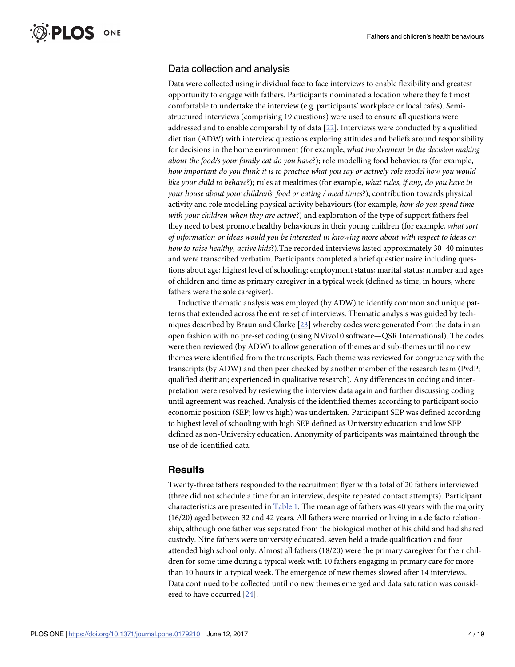## <span id="page-4-0"></span>Data collection and analysis

Data were collected using individual face to face interviews to enable flexibility and greatest opportunity to engage with fathers. Participants nominated a location where they felt most comfortable to undertake the interview (e.g. participants' workplace or local cafes). Semistructured interviews (comprising 19 questions) were used to ensure all questions were addressed and to enable comparability of data [[22](#page-17-0)]. Interviews were conducted by a qualified dietitian (ADW) with interview questions exploring attitudes and beliefs around responsibility for decisions in the home environment (for example, w*hat involvement in the decision making about the food/s your family eat do you have*?); role modelling food behaviours (for example, how important do you think it is to practice what you say or actively role model how you would *like your child to behave*?); rules at mealtimes (for example, *what rules*, *if any*, *do you have in your house about your children's food or eating / meal times*?); contribution towards physical activity and role modelling physical activity behaviours (for example, *how do you spend time with your children when they are active*?) and exploration of the type of support fathers feel they need to best promote healthy behaviours in their young children (for example, *what sort of information or ideas would you be interested in knowing more about with respect to ideas on how to raise healthy*, *active kids*?).The recorded interviews lasted approximately 30–40 minutes and were transcribed verbatim. Participants completed a brief questionnaire including questions about age; highest level of schooling; employment status; marital status; number and ages of children and time as primary caregiver in a typical week (defined as time, in hours, where fathers were the sole caregiver).

Inductive thematic analysis was employed (by ADW) to identify common and unique patterns that extended across the entire set of interviews. Thematic analysis was guided by techniques described by Braun and Clarke [[23](#page-17-0)] whereby codes were generated from the data in an open fashion with no pre-set coding (using NVivo10 software—QSR International). The codes were then reviewed (by ADW) to allow generation of themes and sub-themes until no new themes were identified from the transcripts. Each theme was reviewed for congruency with the transcripts (by ADW) and then peer checked by another member of the research team (PvdP; qualified dietitian; experienced in qualitative research). Any differences in coding and interpretation were resolved by reviewing the interview data again and further discussing coding until agreement was reached. Analysis of the identified themes according to participant socioeconomic position (SEP; low vs high) was undertaken. Participant SEP was defined according to highest level of schooling with high SEP defined as University education and low SEP defined as non-University education. Anonymity of participants was maintained through the use of de-identified data.

# **Results**

Twenty-three fathers responded to the recruitment flyer with a total of 20 fathers interviewed (three did not schedule a time for an interview, despite repeated contact attempts). Participant characteristics are presented in [Table](#page-5-0) 1. The mean age of fathers was 40 years with the majority (16/20) aged between 32 and 42 years. All fathers were married or living in a de facto relationship, although one father was separated from the biological mother of his child and had shared custody. Nine fathers were university educated, seven held a trade qualification and four attended high school only. Almost all fathers (18/20) were the primary caregiver for their children for some time during a typical week with 10 fathers engaging in primary care for more than 10 hours in a typical week. The emergence of new themes slowed after 14 interviews. Data continued to be collected until no new themes emerged and data saturation was considered to have occurred [[24](#page-17-0)].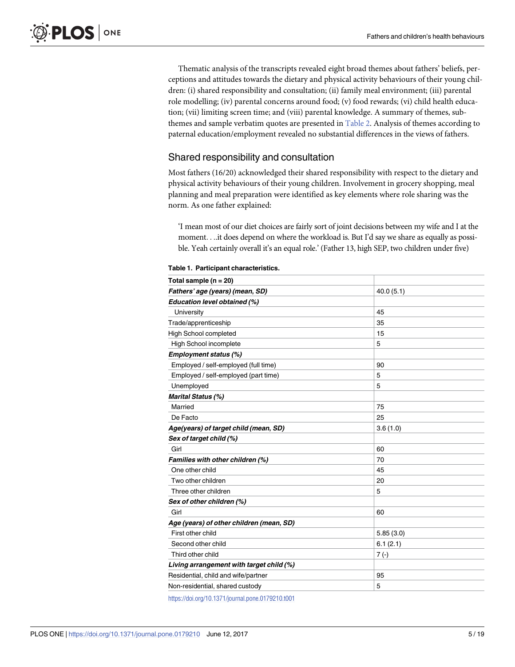<span id="page-5-0"></span>Thematic analysis of the transcripts revealed eight broad themes about fathers' beliefs, perceptions and attitudes towards the dietary and physical activity behaviours of their young children: (i) shared responsibility and consultation; (ii) family meal environment; (iii) parental role modelling; (iv) parental concerns around food; (v) food rewards; (vi) child health education; (vii) limiting screen time; and (viii) parental knowledge. A summary of themes, subthemes and sample verbatim quotes are presented in [Table](#page-6-0) 2. Analysis of themes according to paternal education/employment revealed no substantial differences in the views of fathers.

# Shared responsibility and consultation

Most fathers (16/20) acknowledged their shared responsibility with respect to the dietary and physical activity behaviours of their young children. Involvement in grocery shopping, meal planning and meal preparation were identified as key elements where role sharing was the norm. As one father explained:

'I mean most of our diet choices are fairly sort of joint decisions between my wife and I at the moment. . ..it does depend on where the workload is. But I'd say we share as equally as possible. Yeah certainly overall it's an equal role.' (Father 13, high SEP, two children under five)

| Total sample ( $n = 20$ )                |           |
|------------------------------------------|-----------|
| Fathers' age (years) (mean, SD)          | 40.0(5.1) |
| Education level obtained (%)             |           |
| University                               | 45        |
| Trade/apprenticeship                     | 35        |
| <b>High School completed</b>             | 15        |
| High School incomplete                   | 5         |
| <b>Employment status (%)</b>             |           |
| Employed / self-employed (full time)     | 90        |
| Employed / self-employed (part time)     | 5         |
| Unemployed                               | 5         |
| Marital Status (%)                       |           |
| Married                                  | 75        |
| De Facto                                 | 25        |
| Age(years) of target child (mean, SD)    | 3.6(1.0)  |
| Sex of target child (%)                  |           |
| Girl                                     | 60        |
| Families with other children (%)         | 70        |
| One other child                          | 45        |
| Two other children                       | 20        |
| Three other children                     | 5         |
| Sex of other children (%)                |           |
| Girl                                     | 60        |
| Age (years) of other children (mean, SD) |           |
| First other child                        | 5.85(3.0) |
| Second other child                       | 6.1(2.1)  |
| Third other child                        | $7( - )$  |
| Living arrangement with target child (%) |           |
| Residential, child and wife/partner      | 95        |
| Non-residential, shared custody          | 5         |
|                                          |           |

**[Table](#page-4-0) 1. Participant characteristics.**

<https://doi.org/10.1371/journal.pone.0179210.t001>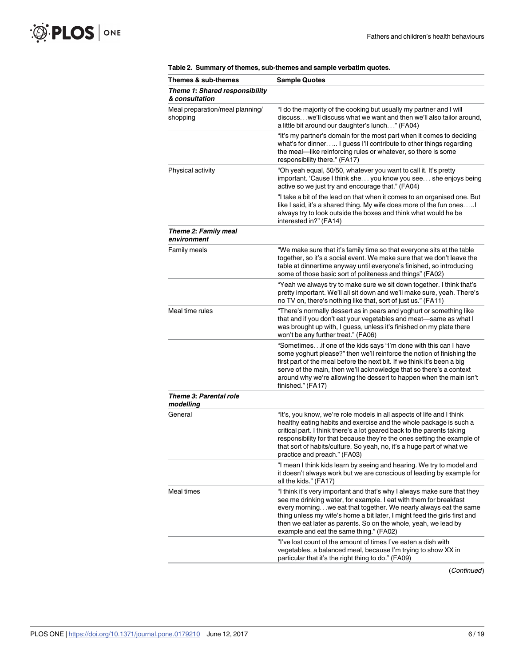<span id="page-6-0"></span>

| Themes & sub-themes                              | <b>Sample Quotes</b>                                                                                                                                                                                                                                                                                                                                                                                           |
|--------------------------------------------------|----------------------------------------------------------------------------------------------------------------------------------------------------------------------------------------------------------------------------------------------------------------------------------------------------------------------------------------------------------------------------------------------------------------|
| Theme 1: Shared responsibility<br>& consultation |                                                                                                                                                                                                                                                                                                                                                                                                                |
| Meal preparation/meal planning/<br>shopping      | "I do the majority of the cooking but usually my partner and I will<br>discuss we'll discuss what we want and then we'll also tailor around,<br>a little bit around our daughter's lunch" (FA04)                                                                                                                                                                                                               |
|                                                  | "It's my partner's domain for the most part when it comes to deciding<br>what's for dinner I guess I'll contribute to other things regarding<br>the meal-like reinforcing rules or whatever, so there is some<br>responsibility there." (FA17)                                                                                                                                                                 |
| Physical activity                                | "Oh yeah equal, 50/50, whatever you want to call it. It's pretty<br>important. 'Cause I think she you know you see she enjoys being<br>active so we just try and encourage that." (FA04)                                                                                                                                                                                                                       |
|                                                  | "I take a bit of the lead on that when it comes to an organised one. But<br>like I said, it's a shared thing. My wife does more of the fun ones!<br>always try to look outside the boxes and think what would he be<br>interested in?" (FA14)                                                                                                                                                                  |
| Theme 2: Family meal<br>environment              |                                                                                                                                                                                                                                                                                                                                                                                                                |
| Family meals                                     | "We make sure that it's family time so that everyone sits at the table<br>together, so it's a social event. We make sure that we don't leave the<br>table at dinnertime anyway until everyone's finished, so introducing<br>some of those basic sort of politeness and things" (FA02)                                                                                                                          |
|                                                  | "Yeah we always try to make sure we sit down together. I think that's<br>pretty important. We'll all sit down and we'll make sure, yeah. There's<br>no TV on, there's nothing like that, sort of just us." (FA11)                                                                                                                                                                                              |
| Meal time rules                                  | "There's normally dessert as in pears and yoghurt or something like<br>that and if you don't eat your vegetables and meat-same as what I<br>was brought up with, I guess, unless it's finished on my plate there<br>won't be any further treat." (FA06)                                                                                                                                                        |
|                                                  | "Sometimes if one of the kids says "I'm done with this can I have<br>some yoghurt please?" then we'll reinforce the notion of finishing the<br>first part of the meal before the next bit. If we think it's been a big<br>serve of the main, then we'll acknowledge that so there's a context<br>around why we're allowing the dessert to happen when the main isn't<br>finished." (FA17)                      |
| Theme 3: Parental role<br>modelling              |                                                                                                                                                                                                                                                                                                                                                                                                                |
| General                                          | "It's, you know, we're role models in all aspects of life and I think<br>healthy eating habits and exercise and the whole package is such a<br>critical part. I think there's a lot geared back to the parents taking<br>responsibility for that because they're the ones setting the example of<br>that sort of habits/culture. So yeah, no, it's a huge part of what we<br>practice and preach." (FA03)      |
|                                                  | "I mean I think kids learn by seeing and hearing. We try to model and<br>it doesn't always work but we are conscious of leading by example for<br>all the kids." (FA17)                                                                                                                                                                                                                                        |
| Meal times                                       | "I think it's very important and that's why I always make sure that they<br>see me drinking water, for example. I eat with them for breakfast<br>every morning. we eat that together. We nearly always eat the same<br>thing unless my wife's home a bit later, I might feed the girls first and<br>then we eat later as parents. So on the whole, yeah, we lead by<br>example and eat the same thing." (FA02) |
|                                                  | "I've lost count of the amount of times I've eaten a dish with<br>vegetables, a balanced meal, because I'm trying to show XX in<br>particular that it's the right thing to do." (FA09)                                                                                                                                                                                                                         |

| Table 2. Summary of themes, sub-themes and sample verbatim quotes. |  |  |  |  |
|--------------------------------------------------------------------|--|--|--|--|
|--------------------------------------------------------------------|--|--|--|--|

(Continued)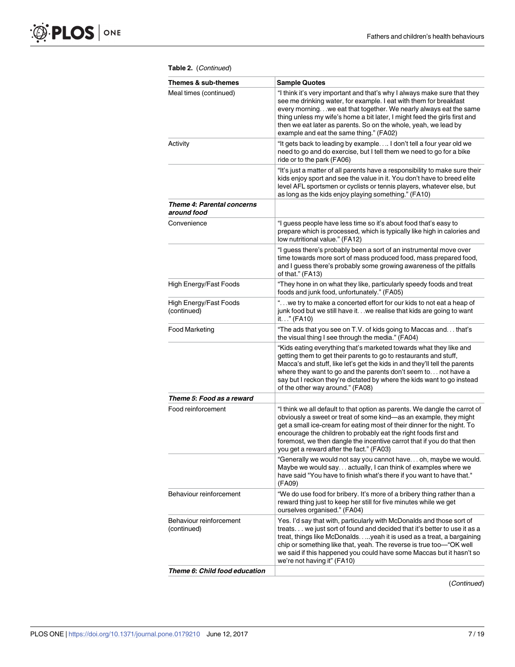| Themes & sub-themes                       | <b>Sample Quotes</b>                                                                                                                                                                                                                                                                                                                                                                                                 |
|-------------------------------------------|----------------------------------------------------------------------------------------------------------------------------------------------------------------------------------------------------------------------------------------------------------------------------------------------------------------------------------------------------------------------------------------------------------------------|
| Meal times (continued)                    | "I think it's very important and that's why I always make sure that they<br>see me drinking water, for example. I eat with them for breakfast<br>every morning we eat that together. We nearly always eat the same<br>thing unless my wife's home a bit later, I might feed the girls first and<br>then we eat later as parents. So on the whole, yeah, we lead by<br>example and eat the same thing." (FA02)        |
| Activity                                  | "It gets back to leading by example I don't tell a four year old we<br>need to go and do exercise, but I tell them we need to go for a bike<br>ride or to the park (FA06)                                                                                                                                                                                                                                            |
|                                           | "It's just a matter of all parents have a responsibility to make sure their<br>kids enjoy sport and see the value in it. You don't have to breed elite<br>level AFL sportsmen or cyclists or tennis players, whatever else, but<br>as long as the kids enjoy playing something." (FA10)                                                                                                                              |
| Theme 4: Parental concerns<br>around food |                                                                                                                                                                                                                                                                                                                                                                                                                      |
| Convenience                               | "I guess people have less time so it's about food that's easy to<br>prepare which is processed, which is typically like high in calories and<br>low nutritional value." (FA12)                                                                                                                                                                                                                                       |
|                                           | "I guess there's probably been a sort of an instrumental move over<br>time towards more sort of mass produced food, mass prepared food,<br>and I guess there's probably some growing awareness of the pitfalls<br>of that." (FA13)                                                                                                                                                                                   |
| <b>High Energy/Fast Foods</b>             | "They hone in on what they like, particularly speedy foods and treat<br>foods and junk food, unfortunately." (FA05)                                                                                                                                                                                                                                                                                                  |
| High Energy/Fast Foods<br>(continued)     | " we try to make a concerted effort for our kids to not eat a heap of<br>junk food but we still have it. we realise that kids are going to want<br>it." (FA10)                                                                                                                                                                                                                                                       |
| <b>Food Marketing</b>                     | "The ads that you see on T.V. of kids going to Maccas and that's<br>the visual thing I see through the media." (FA04)                                                                                                                                                                                                                                                                                                |
|                                           | "Kids eating everything that's marketed towards what they like and<br>getting them to get their parents to go to restaurants and stuff,<br>Macca's and stuff, like let's get the kids in and they'll tell the parents<br>where they want to go and the parents don't seem to not have a<br>say but I reckon they're dictated by where the kids want to go instead<br>of the other way around." (FA08)                |
| Theme 5: Food as a reward                 |                                                                                                                                                                                                                                                                                                                                                                                                                      |
| Food reinforcement                        | "I think we all default to that option as parents. We dangle the carrot of<br>obviously a sweet or treat of some kind-as an example, they might<br>get a small ice-cream for eating most of their dinner for the night. To<br>encourage the children to probably eat the right foods first and<br>foremost, we then dangle the incentive carrot that if you do that then<br>you get a reward after the fact." (FA03) |
|                                           | "Generally we would not say you cannot have oh, maybe we would.<br>Maybe we would say actually, I can think of examples where we<br>have said "You have to finish what's there if you want to have that."<br>(FA09)                                                                                                                                                                                                  |
| Behaviour reinforcement                   | "We do use food for bribery. It's more of a bribery thing rather than a<br>reward thing just to keep her still for five minutes while we get<br>ourselves organised." (FA04)                                                                                                                                                                                                                                         |
| Behaviour reinforcement<br>(continued)    | Yes. I'd say that with, particularly with McDonalds and those sort of<br>treats we just sort of found and decided that it's better to use it as a<br>treat, things like McDonaldsyeah it is used as a treat, a bargaining<br>chip or something like that, yeah. The reverse is true too-"OK well<br>we said if this happened you could have some Maccas but it hasn't so<br>we're not having it" (FA10)              |
| Theme 6: Child food education             |                                                                                                                                                                                                                                                                                                                                                                                                                      |

#### **Table 2.** (Continued)

(Continued)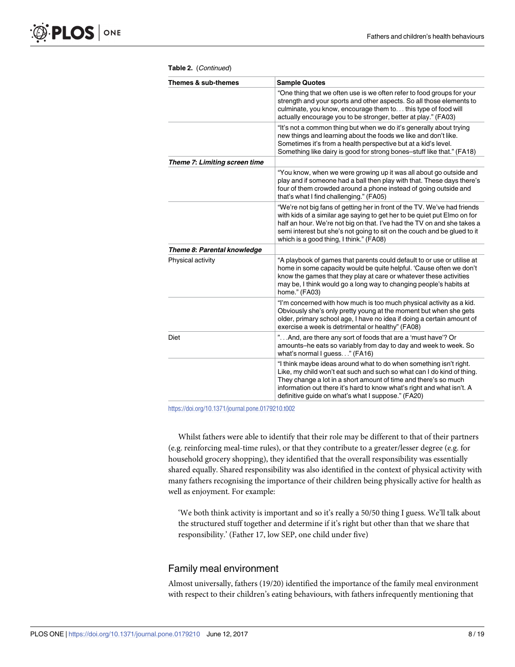| Themes & sub-themes           | <b>Sample Quotes</b>                                                                                                                                                                                                                                                                                                                                   |
|-------------------------------|--------------------------------------------------------------------------------------------------------------------------------------------------------------------------------------------------------------------------------------------------------------------------------------------------------------------------------------------------------|
|                               | "One thing that we often use is we often refer to food groups for your<br>strength and your sports and other aspects. So all those elements to<br>culminate, you know, encourage them to this type of food will<br>actually encourage you to be stronger, better at play." (FA03)                                                                      |
|                               | "It's not a common thing but when we do it's generally about trying<br>new things and learning about the foods we like and don't like.<br>Sometimes it's from a health perspective but at a kid's level.<br>Something like dairy is good for strong bones-stuff like that." (FA18)                                                                     |
| Theme 7: Limiting screen time |                                                                                                                                                                                                                                                                                                                                                        |
|                               | "You know, when we were growing up it was all about go outside and<br>play and if someone had a ball then play with that. These days there's<br>four of them crowded around a phone instead of going outside and<br>that's what I find challenging." (FA05)                                                                                            |
|                               | "We're not big fans of getting her in front of the TV. We've had friends<br>with kids of a similar age saying to get her to be quiet put Elmo on for<br>half an hour. We're not big on that. I've had the TV on and she takes a<br>semi interest but she's not going to sit on the couch and be glued to it<br>which is a good thing, I think." (FA08) |
| Theme 8: Parental knowledge   |                                                                                                                                                                                                                                                                                                                                                        |
| Physical activity             | "A playbook of games that parents could default to or use or utilise at<br>home in some capacity would be quite helpful. 'Cause often we don't<br>know the games that they play at care or whatever these activities<br>may be, I think would go a long way to changing people's habits at<br>home." (FA03)                                            |
|                               | "I'm concerned with how much is too much physical activity as a kid.<br>Obviously she's only pretty young at the moment but when she gets<br>older, primary school age, I have no idea if doing a certain amount of<br>exercise a week is detrimental or healthy" (FA08)                                                                               |
| Diet                          | "And, are there any sort of foods that are a 'must have'? Or<br>amounts-he eats so variably from day to day and week to week. So<br>what's normal I guess" (FA16)                                                                                                                                                                                      |
|                               | "I think maybe ideas around what to do when something isn't right.<br>Like, my child won't eat such and such so what can I do kind of thing.<br>They change a lot in a short amount of time and there's so much<br>information out there it's hard to know what's right and what isn't. A<br>definitive guide on what's what I suppose." (FA20)        |

**Table 2.** (Continued)

<https://doi.org/10.1371/journal.pone.0179210.t002>

Whilst fathers were able to identify that their role may be different to that of their partners (e.g. reinforcing meal-time rules), or that they contribute to a greater/lesser degree (e.g. for household grocery shopping), they identified that the overall responsibility was essentially shared equally. Shared responsibility was also identified in the context of physical activity with many fathers recognising the importance of their children being physically active for health as well as enjoyment. For example:

'We both think activity is important and so it's really a 50/50 thing I guess. We'll talk about the structured stuff together and determine if it's right but other than that we share that responsibility.' (Father 17, low SEP, one child under five)

#### Family meal environment

Almost universally, fathers (19/20) identified the importance of the family meal environment with respect to their children's eating behaviours, with fathers infrequently mentioning that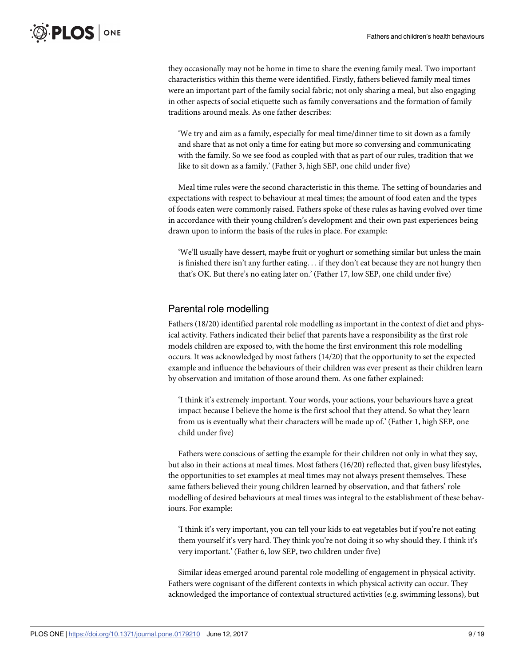they occasionally may not be home in time to share the evening family meal. Two important characteristics within this theme were identified. Firstly, fathers believed family meal times were an important part of the family social fabric; not only sharing a meal, but also engaging in other aspects of social etiquette such as family conversations and the formation of family traditions around meals. As one father describes:

'We try and aim as a family, especially for meal time/dinner time to sit down as a family and share that as not only a time for eating but more so conversing and communicating with the family. So we see food as coupled with that as part of our rules, tradition that we like to sit down as a family.' (Father 3, high SEP, one child under five)

Meal time rules were the second characteristic in this theme. The setting of boundaries and expectations with respect to behaviour at meal times; the amount of food eaten and the types of foods eaten were commonly raised. Fathers spoke of these rules as having evolved over time in accordance with their young children's development and their own past experiences being drawn upon to inform the basis of the rules in place. For example:

'We'll usually have dessert, maybe fruit or yoghurt or something similar but unless the main is finished there isn't any further eating. . . if they don't eat because they are not hungry then that's OK. But there's no eating later on.' (Father 17, low SEP, one child under five)

# Parental role modelling

Fathers (18/20) identified parental role modelling as important in the context of diet and physical activity. Fathers indicated their belief that parents have a responsibility as the first role models children are exposed to, with the home the first environment this role modelling occurs. It was acknowledged by most fathers (14/20) that the opportunity to set the expected example and influence the behaviours of their children was ever present as their children learn by observation and imitation of those around them. As one father explained:

'I think it's extremely important. Your words, your actions, your behaviours have a great impact because I believe the home is the first school that they attend. So what they learn from us is eventually what their characters will be made up of.' (Father 1, high SEP, one child under five)

Fathers were conscious of setting the example for their children not only in what they say, but also in their actions at meal times. Most fathers (16/20) reflected that, given busy lifestyles, the opportunities to set examples at meal times may not always present themselves. These same fathers believed their young children learned by observation, and that fathers' role modelling of desired behaviours at meal times was integral to the establishment of these behaviours. For example:

'I think it's very important, you can tell your kids to eat vegetables but if you're not eating them yourself it's very hard. They think you're not doing it so why should they. I think it's very important.' (Father 6, low SEP, two children under five)

Similar ideas emerged around parental role modelling of engagement in physical activity. Fathers were cognisant of the different contexts in which physical activity can occur. They acknowledged the importance of contextual structured activities (e.g. swimming lessons), but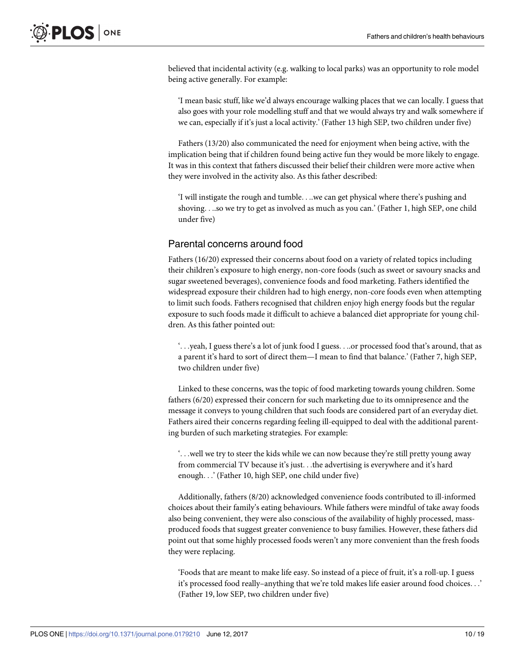believed that incidental activity (e.g. walking to local parks) was an opportunity to role model being active generally. For example:

'I mean basic stuff, like we'd always encourage walking places that we can locally. I guess that also goes with your role modelling stuff and that we would always try and walk somewhere if we can, especially if it's just a local activity.' (Father 13 high SEP, two children under five)

Fathers (13/20) also communicated the need for enjoyment when being active, with the implication being that if children found being active fun they would be more likely to engage. It was in this context that fathers discussed their belief their children were more active when they were involved in the activity also. As this father described:

'I will instigate the rough and tumble. . ..we can get physical where there's pushing and shoving. . ..so we try to get as involved as much as you can.' (Father 1, high SEP, one child under five)

## Parental concerns around food

Fathers (16/20) expressed their concerns about food on a variety of related topics including their children's exposure to high energy, non-core foods (such as sweet or savoury snacks and sugar sweetened beverages), convenience foods and food marketing. Fathers identified the widespread exposure their children had to high energy, non-core foods even when attempting to limit such foods. Fathers recognised that children enjoy high energy foods but the regular exposure to such foods made it difficult to achieve a balanced diet appropriate for young children. As this father pointed out:

'. . .yeah, I guess there's a lot of junk food I guess. . ..or processed food that's around, that as a parent it's hard to sort of direct them—I mean to find that balance.' (Father 7, high SEP, two children under five)

Linked to these concerns, was the topic of food marketing towards young children. Some fathers (6/20) expressed their concern for such marketing due to its omnipresence and the message it conveys to young children that such foods are considered part of an everyday diet. Fathers aired their concerns regarding feeling ill-equipped to deal with the additional parenting burden of such marketing strategies. For example:

'. . .well we try to steer the kids while we can now because they're still pretty young away from commercial TV because it's just. . .the advertising is everywhere and it's hard enough. . .' (Father 10, high SEP, one child under five)

Additionally, fathers (8/20) acknowledged convenience foods contributed to ill-informed choices about their family's eating behaviours. While fathers were mindful of take away foods also being convenient, they were also conscious of the availability of highly processed, massproduced foods that suggest greater convenience to busy families. However, these fathers did point out that some highly processed foods weren't any more convenient than the fresh foods they were replacing.

'Foods that are meant to make life easy. So instead of a piece of fruit, it's a roll-up. I guess it's processed food really–anything that we're told makes life easier around food choices. . .' (Father 19, low SEP, two children under five)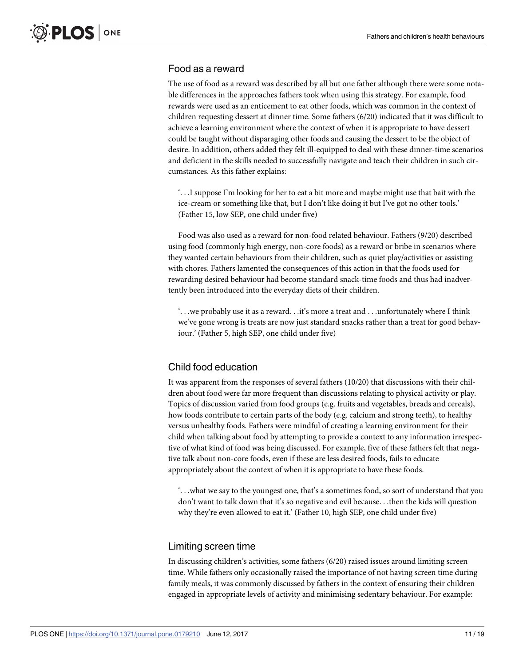# Food as a reward

The use of food as a reward was described by all but one father although there were some notable differences in the approaches fathers took when using this strategy. For example, food rewards were used as an enticement to eat other foods, which was common in the context of children requesting dessert at dinner time. Some fathers (6/20) indicated that it was difficult to achieve a learning environment where the context of when it is appropriate to have dessert could be taught without disparaging other foods and causing the dessert to be the object of desire. In addition, others added they felt ill-equipped to deal with these dinner-time scenarios and deficient in the skills needed to successfully navigate and teach their children in such circumstances. As this father explains:

'. . .I suppose I'm looking for her to eat a bit more and maybe might use that bait with the ice-cream or something like that, but I don't like doing it but I've got no other tools.' (Father 15, low SEP, one child under five)

Food was also used as a reward for non-food related behaviour. Fathers (9/20) described using food (commonly high energy, non-core foods) as a reward or bribe in scenarios where they wanted certain behaviours from their children, such as quiet play/activities or assisting with chores. Fathers lamented the consequences of this action in that the foods used for rewarding desired behaviour had become standard snack-time foods and thus had inadvertently been introduced into the everyday diets of their children.

 $\cdot$ ... we probably use it as a reward... it's more a treat and ... unfortunately where I think we've gone wrong is treats are now just standard snacks rather than a treat for good behaviour.' (Father 5, high SEP, one child under five)

# Child food education

It was apparent from the responses of several fathers (10/20) that discussions with their children about food were far more frequent than discussions relating to physical activity or play. Topics of discussion varied from food groups (e.g. fruits and vegetables, breads and cereals), how foods contribute to certain parts of the body (e.g. calcium and strong teeth), to healthy versus unhealthy foods. Fathers were mindful of creating a learning environment for their child when talking about food by attempting to provide a context to any information irrespective of what kind of food was being discussed. For example, five of these fathers felt that negative talk about non-core foods, even if these are less desired foods, fails to educate appropriately about the context of when it is appropriate to have these foods.

'. . .what we say to the youngest one, that's a sometimes food, so sort of understand that you don't want to talk down that it's so negative and evil because. . .then the kids will question why they're even allowed to eat it.' (Father 10, high SEP, one child under five)

#### Limiting screen time

In discussing children's activities, some fathers (6/20) raised issues around limiting screen time. While fathers only occasionally raised the importance of not having screen time during family meals, it was commonly discussed by fathers in the context of ensuring their children engaged in appropriate levels of activity and minimising sedentary behaviour. For example: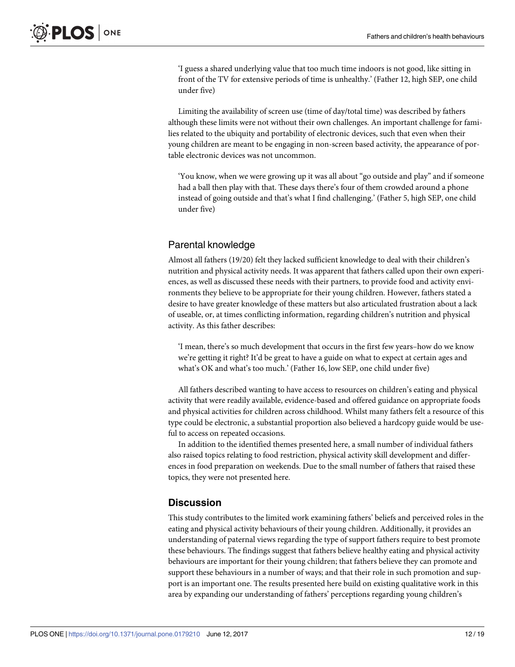'I guess a shared underlying value that too much time indoors is not good, like sitting in front of the TV for extensive periods of time is unhealthy.' (Father 12, high SEP, one child under five)

Limiting the availability of screen use (time of day/total time) was described by fathers although these limits were not without their own challenges. An important challenge for families related to the ubiquity and portability of electronic devices, such that even when their young children are meant to be engaging in non-screen based activity, the appearance of portable electronic devices was not uncommon.

'You know, when we were growing up it was all about "go outside and play" and if someone had a ball then play with that. These days there's four of them crowded around a phone instead of going outside and that's what I find challenging.' (Father 5, high SEP, one child under five)

# Parental knowledge

Almost all fathers (19/20) felt they lacked sufficient knowledge to deal with their children's nutrition and physical activity needs. It was apparent that fathers called upon their own experiences, as well as discussed these needs with their partners, to provide food and activity environments they believe to be appropriate for their young children. However, fathers stated a desire to have greater knowledge of these matters but also articulated frustration about a lack of useable, or, at times conflicting information, regarding children's nutrition and physical activity. As this father describes:

'I mean, there's so much development that occurs in the first few years–how do we know we're getting it right? It'd be great to have a guide on what to expect at certain ages and what's OK and what's too much.' (Father 16, low SEP, one child under five)

All fathers described wanting to have access to resources on children's eating and physical activity that were readily available, evidence-based and offered guidance on appropriate foods and physical activities for children across childhood. Whilst many fathers felt a resource of this type could be electronic, a substantial proportion also believed a hardcopy guide would be useful to access on repeated occasions.

In addition to the identified themes presented here, a small number of individual fathers also raised topics relating to food restriction, physical activity skill development and differences in food preparation on weekends. Due to the small number of fathers that raised these topics, they were not presented here.

# **Discussion**

This study contributes to the limited work examining fathers' beliefs and perceived roles in the eating and physical activity behaviours of their young children. Additionally, it provides an understanding of paternal views regarding the type of support fathers require to best promote these behaviours. The findings suggest that fathers believe healthy eating and physical activity behaviours are important for their young children; that fathers believe they can promote and support these behaviours in a number of ways; and that their role in such promotion and support is an important one. The results presented here build on existing qualitative work in this area by expanding our understanding of fathers' perceptions regarding young children's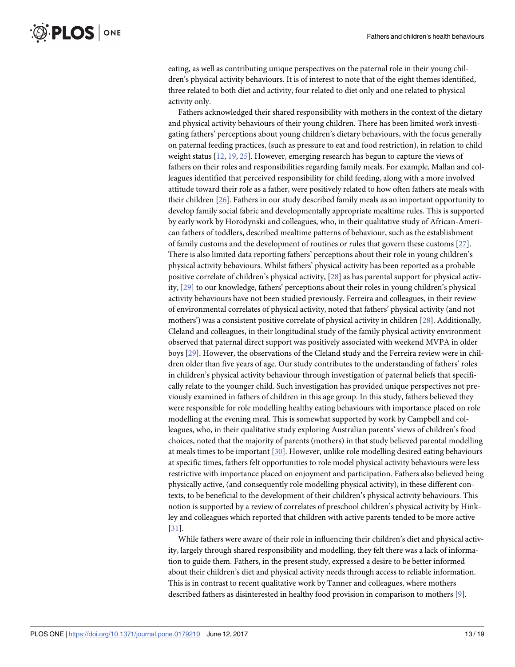<span id="page-13-0"></span>eating, as well as contributing unique perspectives on the paternal role in their young children's physical activity behaviours. It is of interest to note that of the eight themes identified, three related to both diet and activity, four related to diet only and one related to physical activity only.

Fathers acknowledged their shared responsibility with mothers in the context of the dietary and physical activity behaviours of their young children. There has been limited work investigating fathers' perceptions about young children's dietary behaviours, with the focus generally on paternal feeding practices, (such as pressure to eat and food restriction), in relation to child weight status [\[12,](#page-17-0) [19,](#page-17-0) [25\]](#page-17-0). However, emerging research has begun to capture the views of fathers on their roles and responsibilities regarding family meals. For example, Mallan and colleagues identified that perceived responsibility for child feeding, along with a more involved attitude toward their role as a father, were positively related to how often fathers ate meals with their children [\[26\]](#page-17-0). Fathers in our study described family meals as an important opportunity to develop family social fabric and developmentally appropriate mealtime rules. This is supported by early work by Horodynski and colleagues, who, in their qualitative study of African-American fathers of toddlers, described mealtime patterns of behaviour, such as the establishment of family customs and the development of routines or rules that govern these customs [\[27\]](#page-18-0). There is also limited data reporting fathers' perceptions about their role in young children's physical activity behaviours. Whilst fathers' physical activity has been reported as a probable positive correlate of children's physical activity, [\[28\]](#page-18-0) as has parental support for physical activity, [\[29\]](#page-18-0) to our knowledge, fathers' perceptions about their roles in young children's physical activity behaviours have not been studied previously. Ferreira and colleagues, in their review of environmental correlates of physical activity, noted that fathers' physical activity (and not mothers') was a consistent positive correlate of physical activity in children [\[28\]](#page-18-0). Additionally, Cleland and colleagues, in their longitudinal study of the family physical activity environment observed that paternal direct support was positively associated with weekend MVPA in older boys [[29](#page-18-0)]. However, the observations of the Cleland study and the Ferreira review were in children older than five years of age. Our study contributes to the understanding of fathers' roles in children's physical activity behaviour through investigation of paternal beliefs that specifically relate to the younger child. Such investigation has provided unique perspectives not previously examined in fathers of children in this age group. In this study, fathers believed they were responsible for role modelling healthy eating behaviours with importance placed on role modelling at the evening meal. This is somewhat supported by work by Campbell and colleagues, who, in their qualitative study exploring Australian parents' views of children's food choices, noted that the majority of parents (mothers) in that study believed parental modelling at meals times to be important [\[30\]](#page-18-0). However, unlike role modelling desired eating behaviours at specific times, fathers felt opportunities to role model physical activity behaviours were less restrictive with importance placed on enjoyment and participation. Fathers also believed being physically active, (and consequently role modelling physical activity), in these different contexts, to be beneficial to the development of their children's physical activity behaviours. This notion is supported by a review of correlates of preschool children's physical activity by Hinkley and colleagues which reported that children with active parents tended to be more active [\[31\]](#page-18-0).

While fathers were aware of their role in influencing their children's diet and physical activity, largely through shared responsibility and modelling, they felt there was a lack of information to guide them. Fathers, in the present study, expressed a desire to be better informed about their children's diet and physical activity needs through access to reliable information. This is in contrast to recent qualitative work by Tanner and colleagues, where mothers described fathers as disinterested in healthy food provision in comparison to mothers [[9](#page-17-0)].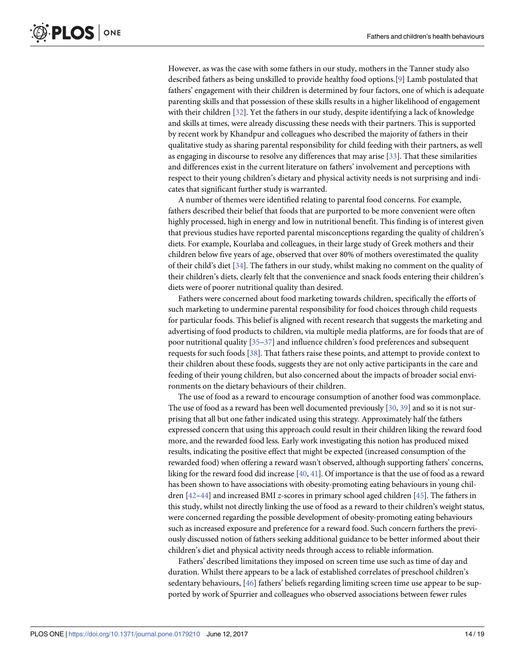<span id="page-14-0"></span>However, as was the case with some fathers in our study, mothers in the Tanner study also described fathers as being unskilled to provide healthy food options.[[9](#page-17-0)] Lamb postulated that fathers' engagement with their children is determined by four factors, one of which is adequate parenting skills and that possession of these skills results in a higher likelihood of engagement with their children [\[32\]](#page-18-0). Yet the fathers in our study, despite identifying a lack of knowledge and skills at times, were already discussing these needs with their partners. This is supported by recent work by Khandpur and colleagues who described the majority of fathers in their qualitative study as sharing parental responsibility for child feeding with their partners, as well as engaging in discourse to resolve any differences that may arise [[33](#page-18-0)]. That these similarities and differences exist in the current literature on fathers' involvement and perceptions with respect to their young children's dietary and physical activity needs is not surprising and indicates that significant further study is warranted.

A number of themes were identified relating to parental food concerns. For example, fathers described their belief that foods that are purported to be more convenient were often highly processed, high in energy and low in nutritional benefit. This finding is of interest given that previous studies have reported parental misconceptions regarding the quality of children's diets. For example, Kourlaba and colleagues, in their large study of Greek mothers and their children below five years of age, observed that over 80% of mothers overestimated the quality of their child's diet [[34](#page-18-0)]. The fathers in our study, whilst making no comment on the quality of their children's diets, clearly felt that the convenience and snack foods entering their children's diets were of poorer nutritional quality than desired.

Fathers were concerned about food marketing towards children, specifically the efforts of such marketing to undermine parental responsibility for food choices through child requests for particular foods. This belief is aligned with recent research that suggests the marketing and advertising of food products to children, via multiple media platforms, are for foods that are of poor nutritional quality [[35–37\]](#page-18-0) and influence children's food preferences and subsequent requests for such foods [[38](#page-18-0)]. That fathers raise these points, and attempt to provide context to their children about these foods, suggests they are not only active participants in the care and feeding of their young children, but also concerned about the impacts of broader social environments on the dietary behaviours of their children.

The use of food as a reward to encourage consumption of another food was commonplace. The use of food as a reward has been well documented previously [[30](#page-18-0), [39](#page-18-0)] and so it is not surprising that all but one father indicated using this strategy. Approximately half the fathers expressed concern that using this approach could result in their children liking the reward food more, and the rewarded food less. Early work investigating this notion has produced mixed results, indicating the positive effect that might be expected (increased consumption of the rewarded food) when offering a reward wasn't observed, although supporting fathers' concerns, liking for the reward food did increase [[40,](#page-18-0) [41\]](#page-18-0). Of importance is that the use of food as a reward has been shown to have associations with obesity-promoting eating behaviours in young children [\[42](#page-18-0)–[44\]](#page-18-0) and increased BMI *z*-scores in primary school aged children [[45](#page-18-0)]. The fathers in this study, whilst not directly linking the use of food as a reward to their children's weight status, were concerned regarding the possible development of obesity-promoting eating behaviours such as increased exposure and preference for a reward food. Such concern furthers the previously discussed notion of fathers seeking additional guidance to be better informed about their children's diet and physical activity needs through access to reliable information.

Fathers' described limitations they imposed on screen time use such as time of day and duration. Whilst there appears to be a lack of established correlates of preschool children's sedentary behaviours, [\[46\]](#page-19-0) fathers' beliefs regarding limiting screen time use appear to be supported by work of Spurrier and colleagues who observed associations between fewer rules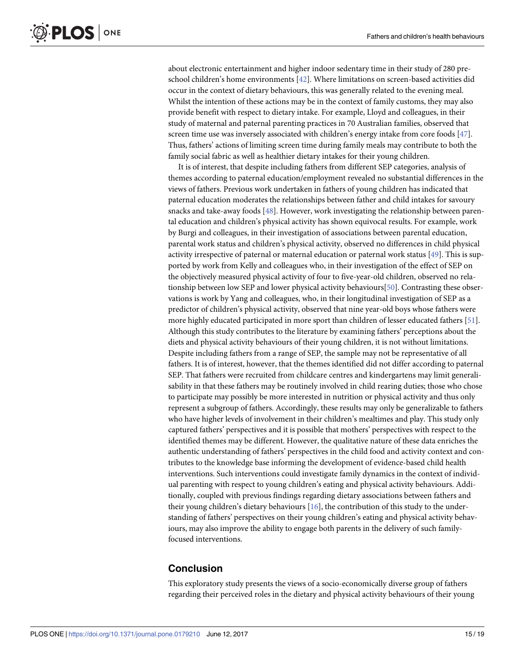<span id="page-15-0"></span>about electronic entertainment and higher indoor sedentary time in their study of 280 preschool children's home environments [[42](#page-18-0)]. Where limitations on screen-based activities did occur in the context of dietary behaviours, this was generally related to the evening meal. Whilst the intention of these actions may be in the context of family customs, they may also provide benefit with respect to dietary intake. For example, Lloyd and colleagues, in their study of maternal and paternal parenting practices in 70 Australian families, observed that screen time use was inversely associated with children's energy intake from core foods [[47](#page-19-0)]. Thus, fathers' actions of limiting screen time during family meals may contribute to both the family social fabric as well as healthier dietary intakes for their young children.

It is of interest, that despite including fathers from different SEP categories, analysis of themes according to paternal education/employment revealed no substantial differences in the views of fathers. Previous work undertaken in fathers of young children has indicated that paternal education moderates the relationships between father and child intakes for savoury snacks and take-away foods [[48](#page-19-0)]. However, work investigating the relationship between parental education and children's physical activity has shown equivocal results. For example, work by Burgi and colleagues, in their investigation of associations between parental education, parental work status and children's physical activity, observed no differences in child physical activity irrespective of paternal or maternal education or paternal work status [\[49\]](#page-19-0). This is supported by work from Kelly and colleagues who, in their investigation of the effect of SEP on the objectively measured physical activity of four to five-year-old children, observed no relationship between low SEP and lower physical activity behaviours[[50](#page-19-0)]. Contrasting these observations is work by Yang and colleagues, who, in their longitudinal investigation of SEP as a predictor of children's physical activity, observed that nine year-old boys whose fathers were more highly educated participated in more sport than children of lesser educated fathers [[51](#page-19-0)]. Although this study contributes to the literature by examining fathers' perceptions about the diets and physical activity behaviours of their young children, it is not without limitations. Despite including fathers from a range of SEP, the sample may not be representative of all fathers. It is of interest, however, that the themes identified did not differ according to paternal SEP. That fathers were recruited from childcare centres and kindergartens may limit generalisability in that these fathers may be routinely involved in child rearing duties; those who chose to participate may possibly be more interested in nutrition or physical activity and thus only represent a subgroup of fathers. Accordingly, these results may only be generalizable to fathers who have higher levels of involvement in their children's mealtimes and play. This study only captured fathers' perspectives and it is possible that mothers' perspectives with respect to the identified themes may be different. However, the qualitative nature of these data enriches the authentic understanding of fathers' perspectives in the child food and activity context and contributes to the knowledge base informing the development of evidence-based child health interventions. Such interventions could investigate family dynamics in the context of individual parenting with respect to young children's eating and physical activity behaviours. Additionally, coupled with previous findings regarding dietary associations between fathers and their young children's dietary behaviours [\[16\]](#page-17-0), the contribution of this study to the understanding of fathers' perspectives on their young children's eating and physical activity behaviours, may also improve the ability to engage both parents in the delivery of such familyfocused interventions.

# **Conclusion**

This exploratory study presents the views of a socio-economically diverse group of fathers regarding their perceived roles in the dietary and physical activity behaviours of their young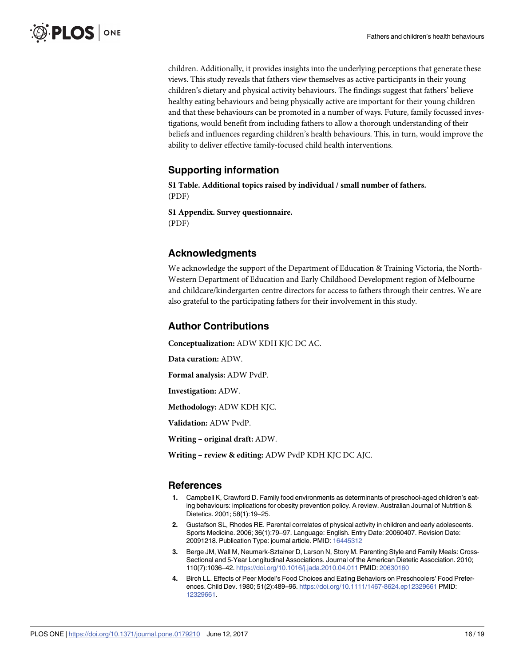<span id="page-16-0"></span>children. Additionally, it provides insights into the underlying perceptions that generate these views. This study reveals that fathers view themselves as active participants in their young children's dietary and physical activity behaviours. The findings suggest that fathers' believe healthy eating behaviours and being physically active are important for their young children and that these behaviours can be promoted in a number of ways. Future, family focussed investigations, would benefit from including fathers to allow a thorough understanding of their beliefs and influences regarding children's health behaviours. This, in turn, would improve the ability to deliver effective family-focused child health interventions.

# **Supporting information**

**S1 [Table.](http://www.plosone.org/article/fetchSingleRepresentation.action?uri=info:doi/10.1371/journal.pone.0179210.s001) Additional topics raised by individual / small number of fathers.** (PDF)

**S1 [Appendix](http://www.plosone.org/article/fetchSingleRepresentation.action?uri=info:doi/10.1371/journal.pone.0179210.s002). Survey questionnaire.** (PDF)

# **Acknowledgments**

We acknowledge the support of the Department of Education & Training Victoria, the North-Western Department of Education and Early Childhood Development region of Melbourne and childcare/kindergarten centre directors for access to fathers through their centres. We are also grateful to the participating fathers for their involvement in this study.

# **Author Contributions**

**Conceptualization:** ADW KDH KJC DC AC.

**Data curation:** ADW.

**Formal analysis:** ADW PvdP.

**Investigation:** ADW.

**Methodology:** ADW KDH KJC.

**Validation:** ADW PvdP.

**Writing – original draft:** ADW.

**Writing – review & editing:** ADW PvdP KDH KJC DC AJC.

# **References**

- **[1](#page-2-0).** Campbell K, Crawford D. Family food environments as determinants of preschool-aged children's eating behaviours: implications for obesity prevention policy. A review. Australian Journal of Nutrition & Dietetics. 2001; 58(1):19–25.
- **[2](#page-2-0).** Gustafson SL, Rhodes RE. Parental correlates of physical activity in children and early adolescents. Sports Medicine. 2006; 36(1):79–97. Language: English. Entry Date: 20060407. Revision Date: 20091218. Publication Type: journal article. PMID: [16445312](http://www.ncbi.nlm.nih.gov/pubmed/16445312)
- **3.** Berge JM, Wall M, Neumark-Sztainer D, Larson N, Story M. Parenting Style and Family Meals: Cross-Sectional and 5-Year Longitudinal Associations. Journal of the American Dietetic Association. 2010; 110(7):1036–42. <https://doi.org/10.1016/j.jada.2010.04.011> PMID: [20630160](http://www.ncbi.nlm.nih.gov/pubmed/20630160)
- **4.** Birch LL. Effects of Peer Model's Food Choices and Eating Behaviors on Preschoolers' Food Preferences. Child Dev. 1980; 51(2):489–96. <https://doi.org/10.1111/1467-8624.ep12329661> PMID: [12329661](http://www.ncbi.nlm.nih.gov/pubmed/12329661).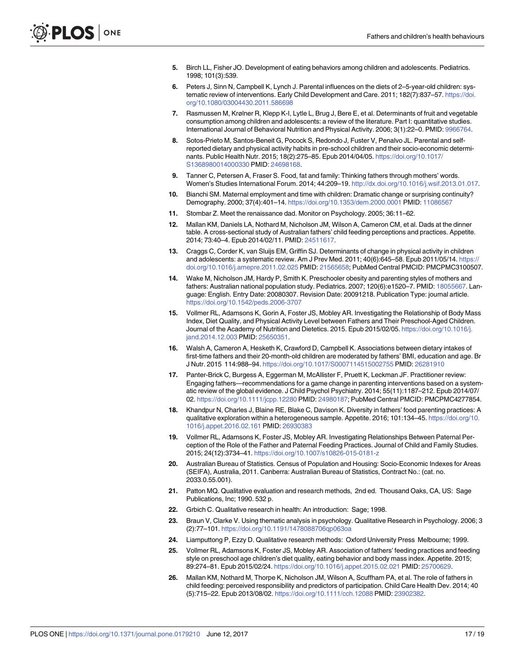- <span id="page-17-0"></span>**[5](#page-2-0).** Birch LL, Fisher JO. Development of eating behaviors among children and adolescents. Pediatrics. 1998; 101(3):539.
- **[6](#page-2-0).** Peters J, Sinn N, Campbell K, Lynch J. Parental influences on the diets of 2–5-year-old children: systematic review of interventions. Early Child Development and Care. 2011; 182(7):837–57. [https://doi.](https://doi.org/10.1080/03004430.2011.586698) [org/10.1080/03004430.2011.586698](https://doi.org/10.1080/03004430.2011.586698)
- **7.** Rasmussen M, Krølner R, Klepp K-I, Lytle L, Brug J, Bere E, et al. Determinants of fruit and vegetable consumption among children and adolescents: a review of the literature. Part I: quantitative studies. International Journal of Behavioral Nutrition and Physical Activity. 2006; 3(1):22–0. PMID: [9966764](http://www.ncbi.nlm.nih.gov/pubmed/9966764).
- **[8](#page-2-0).** Sotos-Prieto M, Santos-Beneit G, Pocock S, Redondo J, Fuster V, Penalvo JL. Parental and selfreported dietary and physical activity habits in pre-school children and their socio-economic determinants. Public Health Nutr. 2015; 18(2):275–85. Epub 2014/04/05. [https://doi.org/10.1017/](https://doi.org/10.1017/S1368980014000330) [S1368980014000330](https://doi.org/10.1017/S1368980014000330) PMID: [24698168](http://www.ncbi.nlm.nih.gov/pubmed/24698168).
- **[9](#page-2-0).** Tanner C, Petersen A, Fraser S. Food, fat and family: Thinking fathers through mothers' words. Women's Studies International Forum. 2014; 44:209–19. [http://dx.doi.org/10.1016/j.wsif.2013.01.017.](https://doi.org/10.1016/j.wsif.2013.01.017)
- **[10](#page-2-0).** Bianchi SM. Maternal employment and time with children: Dramatic change or surprising continuity? Demography. 2000; 37(4):401–14. <https://doi.org/10.1353/dem.2000.0001> PMID: [11086567](http://www.ncbi.nlm.nih.gov/pubmed/11086567)
- **[11](#page-2-0).** Stombar Z. Meet the renaissance dad. Monitor on Psychology. 2005; 36:11–62.
- **[12](#page-2-0).** Mallan KM, Daniels LA, Nothard M, Nicholson JM, Wilson A, Cameron CM, et al. Dads at the dinner table. A cross-sectional study of Australian fathers' child feeding perceptions and practices. Appetite. 2014; 73:40–4. Epub 2014/02/11. PMID: [24511617](http://www.ncbi.nlm.nih.gov/pubmed/24511617).
- **[13](#page-2-0).** Craggs C, Corder K, van Sluijs EM, Griffin SJ. Determinants of change in physical activity in children and adolescents: a systematic review. Am J Prev Med. 2011; 40(6):645–58. Epub 2011/05/14. [https://](https://doi.org/10.1016/j.amepre.2011.02.025) [doi.org/10.1016/j.amepre.2011.02.025](https://doi.org/10.1016/j.amepre.2011.02.025) PMID: [21565658](http://www.ncbi.nlm.nih.gov/pubmed/21565658); PubMed Central PMCID: PMCPMC3100507.
- **[14](#page-2-0).** Wake M, Nicholson JM, Hardy P, Smith K. Preschooler obesity and parenting styles of mothers and fathers: Australian national population study. Pediatrics. 2007; 120(6):e1520–7. PMID: [18055667.](http://www.ncbi.nlm.nih.gov/pubmed/18055667) Language: English. Entry Date: 20080307. Revision Date: 20091218. Publication Type: journal article. <https://doi.org/10.1542/peds.2006-3707>
- **[15](#page-2-0).** Vollmer RL, Adamsons K, Gorin A, Foster JS, Mobley AR. Investigating the Relationship of Body Mass Index, Diet Quality, and Physical Activity Level between Fathers and Their Preschool-Aged Children. Journal of the Academy of Nutrition and Dietetics. 2015. Epub 2015/02/05. [https://doi.org/10.1016/j.](https://doi.org/10.1016/j.jand.2014.12.003) [jand.2014.12.003](https://doi.org/10.1016/j.jand.2014.12.003) PMID: [25650351.](http://www.ncbi.nlm.nih.gov/pubmed/25650351)
- **[16](#page-2-0).** Walsh A, Cameron A, Hesketh K, Crawford D, Campbell K. Associations between dietary intakes of first-time fathers and their 20-month-old children are moderated by fathers' BMI, education and age. Br J Nutr. 2015 114:988–94. <https://doi.org/10.1017/S0007114515002755> PMID: [26281910](http://www.ncbi.nlm.nih.gov/pubmed/26281910)
- **[17](#page-2-0).** Panter-Brick C, Burgess A, Eggerman M, McAllister F, Pruett K, Leckman JF. Practitioner review: Engaging fathers—recommendations for a game change in parenting interventions based on a systematic review of the global evidence. J Child Psychol Psychiatry. 2014; 55(11):1187–212. Epub 2014/07/ 02. <https://doi.org/10.1111/jcpp.12280> PMID: [24980187](http://www.ncbi.nlm.nih.gov/pubmed/24980187); PubMed Central PMCID: PMCPMC4277854.
- **[18](#page-3-0).** Khandpur N, Charles J, Blaine RE, Blake C, Davison K. Diversity in fathers' food parenting practices: A qualitative exploration within a heterogeneous sample. Appetite. 2016; 101:134–45. [https://doi.org/10.](https://doi.org/10.1016/j.appet.2016.02.161) [1016/j.appet.2016.02.161](https://doi.org/10.1016/j.appet.2016.02.161) PMID: [26930383](http://www.ncbi.nlm.nih.gov/pubmed/26930383)
- **[19](#page-3-0).** Vollmer RL, Adamsons K, Foster JS, Mobley AR. Investigating Relationships Between Paternal Perception of the Role of the Father and Paternal Feeding Practices. Journal of Child and Family Studies. 2015; 24(12):3734–41. <https://doi.org/10.1007/s10826-015-0181-z>
- **[20](#page-3-0).** Australian Bureau of Statistics. Census of Population and Housing: Socio-Economic Indexes for Areas (SEIFA), Australia, 2011. Canberra: Australian Bureau of Statistics, Contract No.: (cat. no. 2033.0.55.001).
- **[21](#page-3-0).** Patton MQ. Qualitative evaluation and research methods, 2nd ed. Thousand Oaks, CA, US: Sage Publications, Inc; 1990. 532 p.
- **[22](#page-4-0).** Grbich C. Qualitative research in health: An introduction: Sage; 1998.
- **[23](#page-4-0).** Braun V, Clarke V. Using thematic analysis in psychology. Qualitative Research in Psychology. 2006; 3 (2):77–101. <https://doi.org/10.1191/1478088706qp063oa>
- **[24](#page-4-0).** Liamputtong P, Ezzy D. Qualitative research methods: Oxford University Press Melbourne; 1999.
- **[25](#page-13-0).** Vollmer RL, Adamsons K, Foster JS, Mobley AR. Association of fathers' feeding practices and feeding style on preschool age children's diet quality, eating behavior and body mass index. Appetite. 2015; 89:274–81. Epub 2015/02/24. <https://doi.org/10.1016/j.appet.2015.02.021> PMID: [25700629](http://www.ncbi.nlm.nih.gov/pubmed/25700629).
- **[26](#page-13-0).** Mallan KM, Nothard M, Thorpe K, Nicholson JM, Wilson A, Scuffham PA, et al. The role of fathers in child feeding: perceived responsibility and predictors of participation. Child Care Health Dev. 2014; 40 (5):715–22. Epub 2013/08/02. <https://doi.org/10.1111/cch.12088> PMID: [23902382.](http://www.ncbi.nlm.nih.gov/pubmed/23902382)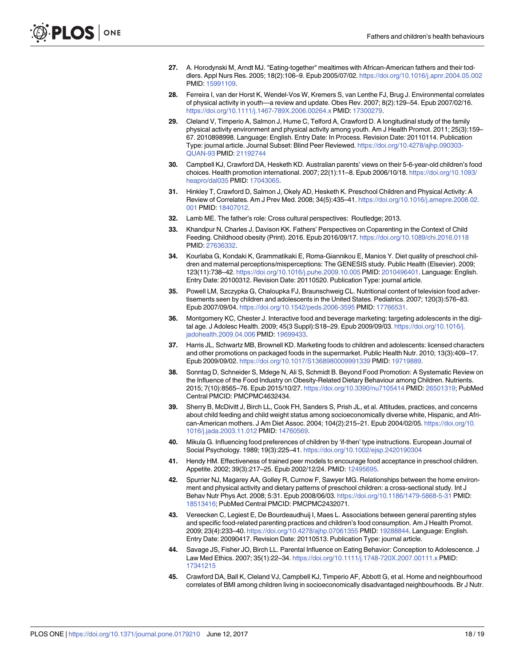- <span id="page-18-0"></span>**[27](#page-13-0).** A. Horodynski M, Arndt MJ. "Eating-together" mealtimes with African-American fathers and their toddlers. Appl Nurs Res. 2005; 18(2):106–9. Epub 2005/07/02. <https://doi.org/10.1016/j.apnr.2004.05.002> PMID: [15991109](http://www.ncbi.nlm.nih.gov/pubmed/15991109).
- **[28](#page-13-0).** Ferreira I, van der Horst K, Wendel-Vos W, Kremers S, van Lenthe FJ, Brug J. Environmental correlates of physical activity in youth—a review and update. Obes Rev. 2007; 8(2):129–54. Epub 2007/02/16. <https://doi.org/10.1111/j.1467-789X.2006.00264.x> PMID: [17300279.](http://www.ncbi.nlm.nih.gov/pubmed/17300279)
- **[29](#page-13-0).** Cleland V, Timperio A, Salmon J, Hume C, Telford A, Crawford D. A longitudinal study of the family physical activity environment and physical activity among youth. Am J Health Promot. 2011; 25(3):159– 67. 2010898998. Language: English. Entry Date: In Process. Revision Date: 20110114. Publication Type: journal article. Journal Subset: Blind Peer Reviewed. [https://doi.org/10.4278/ajhp.090303-](https://doi.org/10.4278/ajhp.090303-QUAN-93) [QUAN-93](https://doi.org/10.4278/ajhp.090303-QUAN-93) PMID: [21192744](http://www.ncbi.nlm.nih.gov/pubmed/21192744)
- **[30](#page-13-0).** Campbell KJ, Crawford DA, Hesketh KD. Australian parents' views on their 5-6-year-old children's food choices. Health promotion international. 2007; 22(1):11–8. Epub 2006/10/18. [https://doi.org/10.1093/](https://doi.org/10.1093/heapro/dal035) [heapro/dal035](https://doi.org/10.1093/heapro/dal035) PMID: [17043065](http://www.ncbi.nlm.nih.gov/pubmed/17043065).
- **[31](#page-13-0).** Hinkley T, Crawford D, Salmon J, Okely AD, Hesketh K. Preschool Children and Physical Activity: A Review of Correlates. Am J Prev Med. 2008; 34(5):435–41. [https://doi.org/10.1016/j.amepre.2008.02.](https://doi.org/10.1016/j.amepre.2008.02.001) [001](https://doi.org/10.1016/j.amepre.2008.02.001) PMID: [18407012.](http://www.ncbi.nlm.nih.gov/pubmed/18407012)
- **[32](#page-14-0).** Lamb ME. The father's role: Cross cultural perspectives: Routledge; 2013.
- **[33](#page-14-0).** Khandpur N, Charles J, Davison KK. Fathers' Perspectives on Coparenting in the Context of Child Feeding. Childhood obesity (Print). 2016. Epub 2016/09/17. <https://doi.org/10.1089/chi.2016.0118> PMID: [27636332](http://www.ncbi.nlm.nih.gov/pubmed/27636332).
- **[34](#page-14-0).** Kourlaba G, Kondaki K, Grammatikaki E, Roma-Giannikou E, Manios Y. Diet quality of preschool children and maternal perceptions/misperceptions: The GENESIS study. Public Health (Elsevier). 2009; 123(11):738–42. <https://doi.org/10.1016/j.puhe.2009.10.005> PMID: [2010496401.](http://www.ncbi.nlm.nih.gov/pubmed/2010496401) Language: English. Entry Date: 20100312. Revision Date: 20110520. Publication Type: journal article.
- **[35](#page-14-0).** Powell LM, Szczypka G, Chaloupka FJ, Braunschweig CL. Nutritional content of television food advertisements seen by children and adolescents in the United States. Pediatrics. 2007; 120(3):576–83. Epub 2007/09/04. <https://doi.org/10.1542/peds.2006-3595> PMID: [17766531.](http://www.ncbi.nlm.nih.gov/pubmed/17766531)
- **36.** Montgomery KC, Chester J. Interactive food and beverage marketing: targeting adolescents in the digital age. J Adolesc Health. 2009; 45(3 Suppl):S18–29. Epub 2009/09/03. [https://doi.org/10.1016/j.](https://doi.org/10.1016/j.jadohealth.2009.04.006) [jadohealth.2009.04.006](https://doi.org/10.1016/j.jadohealth.2009.04.006) PMID: [19699433.](http://www.ncbi.nlm.nih.gov/pubmed/19699433)
- **[37](#page-14-0).** Harris JL, Schwartz MB, Brownell KD. Marketing foods to children and adolescents: licensed characters and other promotions on packaged foods in the supermarket. Public Health Nutr. 2010; 13(3):409–17. Epub 2009/09/02. <https://doi.org/10.1017/S1368980009991339> PMID: [19719889.](http://www.ncbi.nlm.nih.gov/pubmed/19719889)
- **[38](#page-14-0).** Sonntag D, Schneider S, Mdege N, Ali S, Schmidt B. Beyond Food Promotion: A Systematic Review on the Influence of the Food Industry on Obesity-Related Dietary Behaviour among Children. Nutrients. 2015; 7(10):8565–76. Epub 2015/10/27. <https://doi.org/10.3390/nu7105414> PMID: [26501319](http://www.ncbi.nlm.nih.gov/pubmed/26501319); PubMed Central PMCID: PMCPMC4632434.
- **[39](#page-14-0).** Sherry B, McDivitt J, Birch LL, Cook FH, Sanders S, Prish JL, et al. Attitudes, practices, and concerns about child feeding and child weight status among socioeconomically diverse white, Hispanic, and African-American mothers. J Am Diet Assoc. 2004; 104(2):215–21. Epub 2004/02/05. [https://doi.org/10.](https://doi.org/10.1016/j.jada.2003.11.012) [1016/j.jada.2003.11.012](https://doi.org/10.1016/j.jada.2003.11.012) PMID: [14760569](http://www.ncbi.nlm.nih.gov/pubmed/14760569).
- **[40](#page-14-0).** Mikula G. Influencing food preferences of children by 'if-then' type instructions. European Journal of Social Psychology. 1989; 19(3):225–41. <https://doi.org/10.1002/ejsp.2420190304>
- **[41](#page-14-0).** Hendy HM. Effectiveness of trained peer models to encourage food acceptance in preschool children. Appetite. 2002; 39(3):217–25. Epub 2002/12/24. PMID: [12495695](http://www.ncbi.nlm.nih.gov/pubmed/12495695).
- **[42](#page-14-0).** Spurrier NJ, Magarey AA, Golley R, Curnow F, Sawyer MG. Relationships between the home environment and physical activity and dietary patterns of preschool children: a cross-sectional study. Int J Behav Nutr Phys Act. 2008; 5:31. Epub 2008/06/03. <https://doi.org/10.1186/1479-5868-5-31> PMID: [18513416](http://www.ncbi.nlm.nih.gov/pubmed/18513416); PubMed Central PMCID: PMCPMC2432071.
- **43.** Vereecken C, Legiest E, De Bourdeaudhuij I, Maes L. Associations between general parenting styles and specific food-related parenting practices and children's food consumption. Am J Health Promot. 2009; 23(4):233–40. <https://doi.org/10.4278/ajhp.07061355> PMID: [19288844](http://www.ncbi.nlm.nih.gov/pubmed/19288844). Language: English. Entry Date: 20090417. Revision Date: 20110513. Publication Type: journal article.
- **[44](#page-14-0).** Savage JS, Fisher JO, Birch LL. Parental Influence on Eating Behavior: Conception to Adolescence. J Law Med Ethics. 2007; 35(1):22–34. <https://doi.org/10.1111/j.1748-720X.2007.00111.x> PMID: [17341215](http://www.ncbi.nlm.nih.gov/pubmed/17341215)
- **[45](#page-14-0).** Crawford DA, Ball K, Cleland VJ, Campbell KJ, Timperio AF, Abbott G, et al. Home and neighbourhood correlates of BMI among children living in socioeconomically disadvantaged neighbourhoods. Br J Nutr.